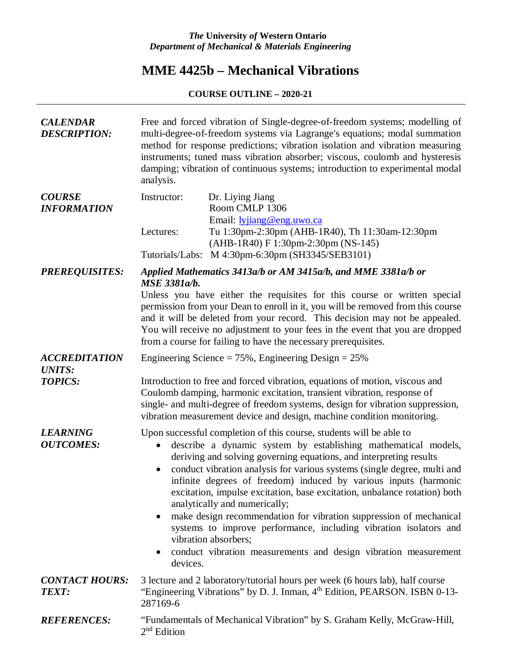*The* **University** *of* **Western Ontario** *Department of Mechanical & Materials Engineering*

# **MME 4425b – Mechanical Vibrations**

## **COURSE OUTLINE – 2020-21**

| <b>CALENDAR</b><br><b>DESCRIPTION:</b> | Free and forced vibration of Single-degree-of-freedom systems; modelling of<br>multi-degree-of-freedom systems via Lagrange's equations; modal summation<br>method for response predictions; vibration isolation and vibration measuring<br>instruments; tuned mass vibration absorber; viscous, coulomb and hysteresis<br>damping; vibration of continuous systems; introduction to experimental modal<br>analysis.                                                                  |                                                                                                                                                                                                                                                                                                                                                                                                                                                                                                                                                                                                                                                                                                                 |
|----------------------------------------|---------------------------------------------------------------------------------------------------------------------------------------------------------------------------------------------------------------------------------------------------------------------------------------------------------------------------------------------------------------------------------------------------------------------------------------------------------------------------------------|-----------------------------------------------------------------------------------------------------------------------------------------------------------------------------------------------------------------------------------------------------------------------------------------------------------------------------------------------------------------------------------------------------------------------------------------------------------------------------------------------------------------------------------------------------------------------------------------------------------------------------------------------------------------------------------------------------------------|
| <b>COURSE</b><br><b>INFORMATION</b>    | Instructor:<br>Lectures:                                                                                                                                                                                                                                                                                                                                                                                                                                                              | Dr. Liying Jiang<br>Room CMLP 1306<br>Email: lyjiang@eng.uwo.ca<br>Tu 1:30pm-2:30pm (AHB-1R40), Th 11:30am-12:30pm<br>(AHB-1R40) F 1:30pm-2:30pm (NS-145)<br>Tutorials/Labs: M 4:30pm-6:30pm (SH3345/SEB3101)                                                                                                                                                                                                                                                                                                                                                                                                                                                                                                   |
| <b>PREREQUISITES:</b>                  | Applied Mathematics 3413a/b or AM 3415a/b, and MME 3381a/b or<br><b>MSE 3381a/b.</b><br>Unless you have either the requisites for this course or written special<br>permission from your Dean to enroll in it, you will be removed from this course<br>and it will be deleted from your record. This decision may not be appealed.<br>You will receive no adjustment to your fees in the event that you are dropped<br>from a course for failing to have the necessary prerequisites. |                                                                                                                                                                                                                                                                                                                                                                                                                                                                                                                                                                                                                                                                                                                 |
| <b>ACCREDITATION</b>                   |                                                                                                                                                                                                                                                                                                                                                                                                                                                                                       | Engineering Science = $75\%$ , Engineering Design = $25\%$                                                                                                                                                                                                                                                                                                                                                                                                                                                                                                                                                                                                                                                      |
| <b>UNITS:</b><br><b>TOPICS:</b>        |                                                                                                                                                                                                                                                                                                                                                                                                                                                                                       | Introduction to free and forced vibration, equations of motion, viscous and<br>Coulomb damping, harmonic excitation, transient vibration, response of<br>single- and multi-degree of freedom systems, design for vibration suppression,<br>vibration measurement device and design, machine condition monitoring.                                                                                                                                                                                                                                                                                                                                                                                               |
| <b>LEARNING</b><br><b>OUTCOMES:</b>    | $\bullet$                                                                                                                                                                                                                                                                                                                                                                                                                                                                             | Upon successful completion of this course, students will be able to<br>describe a dynamic system by establishing mathematical models,<br>deriving and solving governing equations, and interpreting results<br>conduct vibration analysis for various systems (single degree, multi and<br>infinite degrees of freedom) induced by various inputs (harmonic<br>excitation, impulse excitation, base excitation, unbalance rotation) both<br>analytically and numerically;<br>make design recommendation for vibration suppression of mechanical<br>systems to improve performance, including vibration isolators and<br>vibration absorbers;<br>conduct vibration measurements and design vibration measurement |
|                                        | devices.                                                                                                                                                                                                                                                                                                                                                                                                                                                                              |                                                                                                                                                                                                                                                                                                                                                                                                                                                                                                                                                                                                                                                                                                                 |
| <b>CONTACT HOURS:</b><br><b>TEXT:</b>  | 287169-6                                                                                                                                                                                                                                                                                                                                                                                                                                                                              | 3 lecture and 2 laboratory/tutorial hours per week (6 hours lab), half course<br>"Engineering Vibrations" by D. J. Inman, 4 <sup>th</sup> Edition, PEARSON. ISBN 0-13-                                                                                                                                                                                                                                                                                                                                                                                                                                                                                                                                          |
| <b>REFERENCES:</b>                     | $2nd$ Edition                                                                                                                                                                                                                                                                                                                                                                                                                                                                         | "Fundamentals of Mechanical Vibration" by S. Graham Kelly, McGraw-Hill,                                                                                                                                                                                                                                                                                                                                                                                                                                                                                                                                                                                                                                         |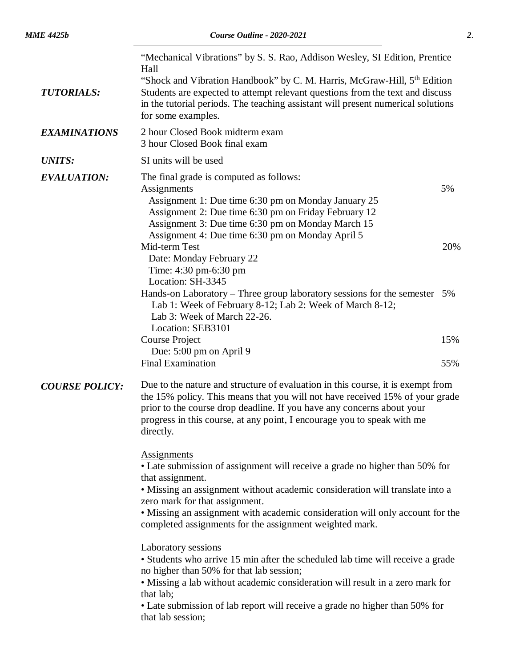| <b>TUTORIALS:</b>     | "Mechanical Vibrations" by S. S. Rao, Addison Wesley, SI Edition, Prentice<br>Hall<br>"Shock and Vibration Handbook" by C. M. Harris, McGraw-Hill, 5 <sup>th</sup> Edition<br>Students are expected to attempt relevant questions from the text and discuss<br>in the tutorial periods. The teaching assistant will present numerical solutions<br>for some examples.               |     |  |  |
|-----------------------|-------------------------------------------------------------------------------------------------------------------------------------------------------------------------------------------------------------------------------------------------------------------------------------------------------------------------------------------------------------------------------------|-----|--|--|
| <b>EXAMINATIONS</b>   | 2 hour Closed Book midterm exam<br>3 hour Closed Book final exam                                                                                                                                                                                                                                                                                                                    |     |  |  |
| <b>UNITS:</b>         | SI units will be used                                                                                                                                                                                                                                                                                                                                                               |     |  |  |
| <b>EVALUATION:</b>    | The final grade is computed as follows:<br>Assignments<br>Assignment 1: Due time 6:30 pm on Monday January 25<br>Assignment 2: Due time 6:30 pm on Friday February 12<br>Assignment 3: Due time 6:30 pm on Monday March 15<br>Assignment 4: Due time 6:30 pm on Monday April 5                                                                                                      |     |  |  |
|                       | Mid-term Test<br>Date: Monday February 22<br>Time: 4:30 pm-6:30 pm<br>Location: SH-3345                                                                                                                                                                                                                                                                                             | 20% |  |  |
|                       | Hands-on Laboratory – Three group laboratory sessions for the semester 5%<br>Lab 1: Week of February 8-12; Lab 2: Week of March 8-12;<br>Lab 3: Week of March 22-26.<br>Location: SEB3101                                                                                                                                                                                           |     |  |  |
|                       | Course Project                                                                                                                                                                                                                                                                                                                                                                      | 15% |  |  |
|                       | Due: 5:00 pm on April 9<br><b>Final Examination</b>                                                                                                                                                                                                                                                                                                                                 | 55% |  |  |
| <b>COURSE POLICY:</b> | Due to the nature and structure of evaluation in this course, it is exempt from<br>the 15% policy. This means that you will not have received 15% of your grade<br>prior to the course drop deadline. If you have any concerns about your<br>progress in this course, at any point, I encourage you to speak with me<br>directly.                                                   |     |  |  |
|                       | <b>Assignments</b><br>• Late submission of assignment will receive a grade no higher than 50% for<br>that assignment.<br>• Missing an assignment without academic consideration will translate into a<br>zero mark for that assignment.<br>• Missing an assignment with academic consideration will only account for the<br>completed assignments for the assignment weighted mark. |     |  |  |
|                       | <b>Laboratory</b> sessions<br>• Students who arrive 15 min after the scheduled lab time will receive a grade<br>no higher than 50% for that lab session;<br>• Missing a lab without academic consideration will result in a zero mark for<br>that lab;<br>• Late submission of lab report will receive a grade no higher than 50% for<br>that lab session;                          |     |  |  |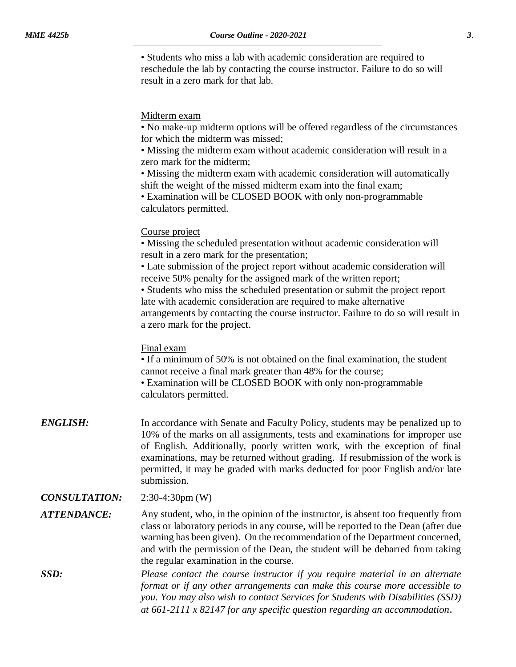• Students who miss a lab with academic consideration are required to reschedule the lab by contacting the course instructor. Failure to do so will result in a zero mark for that lab.

### Midterm exam

• No make-up midterm options will be offered regardless of the circumstances for which the midterm was missed;

• Missing the midterm exam without academic consideration will result in a zero mark for the midterm;

• Missing the midterm exam with academic consideration will automatically shift the weight of the missed midterm exam into the final exam;

• Examination will be CLOSED BOOK with only non-programmable calculators permitted.

### Course project

• Missing the scheduled presentation without academic consideration will result in a zero mark for the presentation;

• Late submission of the project report without academic consideration will receive 50% penalty for the assigned mark of the written report;

• Students who miss the scheduled presentation or submit the project report late with academic consideration are required to make alternative arrangements by contacting the course instructor. Failure to do so will result in a zero mark for the project.

#### Final exam

• If a minimum of 50% is not obtained on the final examination, the student cannot receive a final mark greater than 48% for the course;

• Examination will be CLOSED BOOK with only non-programmable calculators permitted.

*ENGLISH:* In accordance with Senate and Faculty Policy, students may be penalized up to 10% of the marks on all assignments, tests and examinations for improper use of English. Additionally, poorly written work, with the exception of final examinations, may be returned without grading. If resubmission of the work is permitted, it may be graded with marks deducted for poor English and/or late submission.

## *CONSULTATION:* 2:30-4:30pm (W)

*ATTENDANCE:* Any student, who, in the opinion of the instructor, is absent too frequently from class or laboratory periods in any course, will be reported to the Dean (after due warning has been given). On the recommendation of the Department concerned, and with the permission of the Dean, the student will be debarred from taking the regular examination in the course.

*SSD: Please contact the course instructor if you require material in an alternate format or if any other arrangements can make this course more accessible to you. You may also wish to contact Services for Students with Disabilities (SSD) at 661-2111 x 82147 for any specific question regarding an accommodation.*